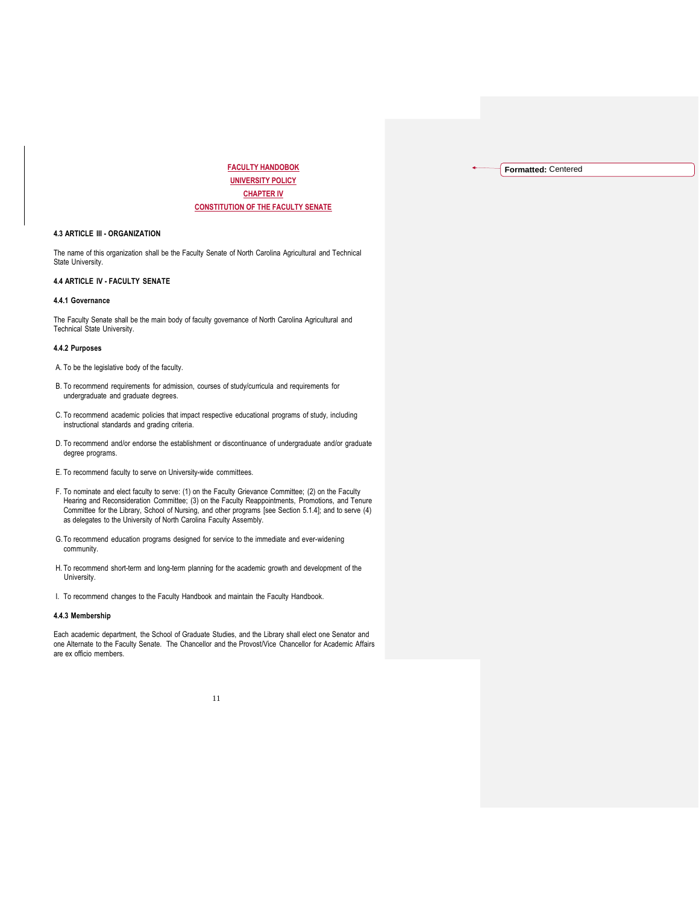**FACULTY HANDOBOK UNIVERSITY POLICY CHAPTER IV CONSTITUTION OF THE FACULTY SENATE** **Formatted:** Centered

## **4.3 ARTICLE III - ORGANIZATION**

The name of this organization shall be the Faculty Senate of North Carolina Agricultural and Technical State University.

# **4.4 ARTICLE IV - FACULTY SENATE**

## **4.4.1 Governance**

The Faculty Senate shall be the main body of faculty governance of North Carolina Agricultural and Technical State University.

#### **4.4.2 Purposes**

A. To be the legislative body of the faculty.

- B. To recommend requirements for admission, courses of study/curricula and requirements for undergraduate and graduate degrees.
- C. To recommend academic policies that impact respective educational programs of study, including instructional standards and grading criteria.
- D. To recommend and/or endorse the establishment or discontinuance of undergraduate and/or graduate degree programs.
- E. To recommend faculty to serve on University-wide committees.
- F. To nominate and elect faculty to serve: (1) on the Faculty Grievance Committee; (2) on the Faculty Hearing and Reconsideration Committee; (3) on the Faculty Reappointments, Promotions, and Tenure Committee for the Library, School of Nursing, and other programs [see Section 5.1.4]; and to serve (4) as delegates to the University of North Carolina Faculty Assembly.
- G.To recommend education programs designed for service to the immediate and ever-widening community.
- H. To recommend short-term and long-term planning for the academic growth and development of the University.
- I. To recommend changes to the Faculty Handbook and maintain the Faculty Handbook.

## **4.4.3 Membership**

Each academic department, the School of Graduate Studies, and the Library shall elect one Senator and one Alternate to the Faculty Senate. The Chancellor and the Provost/Vice Chancellor for Academic Affairs are ex officio members.

#### 11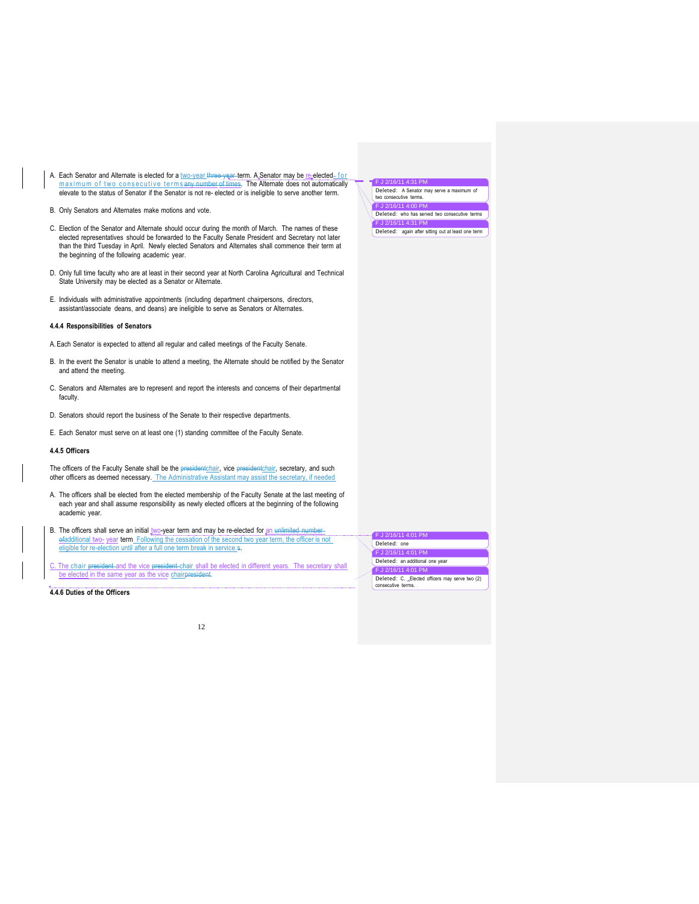- A. Each Senator and Alternate is elected for a <u>two-year three-year</u> term. A Senator may be <u>re-</u>elected<u>-for</u><br>maximum of two consecutive terms any number of times. The Alternate does not automatically elevate to the status of Senator if the Senator is not re-elected or is ineligible to serve another term.
- B. Only Senators and Alternates make motions and vote.
- C. Election of the Senator and Alternate should occur during the month of March. The names of these elected representatives should be forwarded to the Faculty Senate President and Secretary not later than the third Tuesday in April. Newly elected Senators and Alternates shall commence their term at the beginning of the following academic year.
- D. Only full time faculty who are at least in their second year at North Carolina Agricultural and Technical State University may be elected as a Senator or Alternate.
- E. Individuals with administrative appointments (including department chairpersons, directors, assistant/associate deans, and deans) are ineligible to serve as Senators or Alternates.

#### **4.4.4 Responsibilities of Senators**

- A. Each Senator is expected to attend all regular and called meetings of the Faculty Senate.
- B. In the event the Senator is unable to attend a meeting, the Alternate should be notified by the Senator and attend the meeting.
- C. Senators and Alternates are to represent and report the interests and concerns of their departmental faculty.
- D. Senators should report the business of the Senate to their respective departments.
- E. Each Senator must serve on at least one (1) standing committee of the Faculty Senate.

#### **4.4.5 Officers**

The officers of the Faculty Senate shall be the presidentchair, vice presidentchair, secretary, and such other officers as deemed necessary. The Administrative Assistant may assist the secretary, if needed

- A. The officers shall be elected from the elected membership of the Faculty Senate at the last meeting of each year and shall assume responsibility as newly elected officers at the beginning of the following academic year.
- B. The officers shall serve an initial two-year term and may be re-elected for an unlimited number ofadditional two- year term Following the cessation of the second two year term, the officer is not eligible for re-election until after a full one term break in service.s.
- The chair president and the vice president chair shall be elected in different years. The secretary shall be elected in the same year as the vice chairpresident.

**4.4.6 Duties of the Officers**

| F J 2/16/11 4:31 PM                                                 |
|---------------------------------------------------------------------|
| Deleted: A Senator may serve a maximum of<br>two consecutive terms. |
| F J 2/16/11 4:00 PM                                                 |
| Deleted: who has served two consecutive terms                       |
| F J 2/16/11 4:31 PM                                                 |
| Deleted: again after sitting out at least one term                  |

J 2/16/11 4:01 PM Deleted: one F J 2/16/11 4:01 PM Deleted: an additional one year F J 2/16/11 4:01 PM

consecutive terms.

Deleted: C. \_Elected officers may serve two (2)

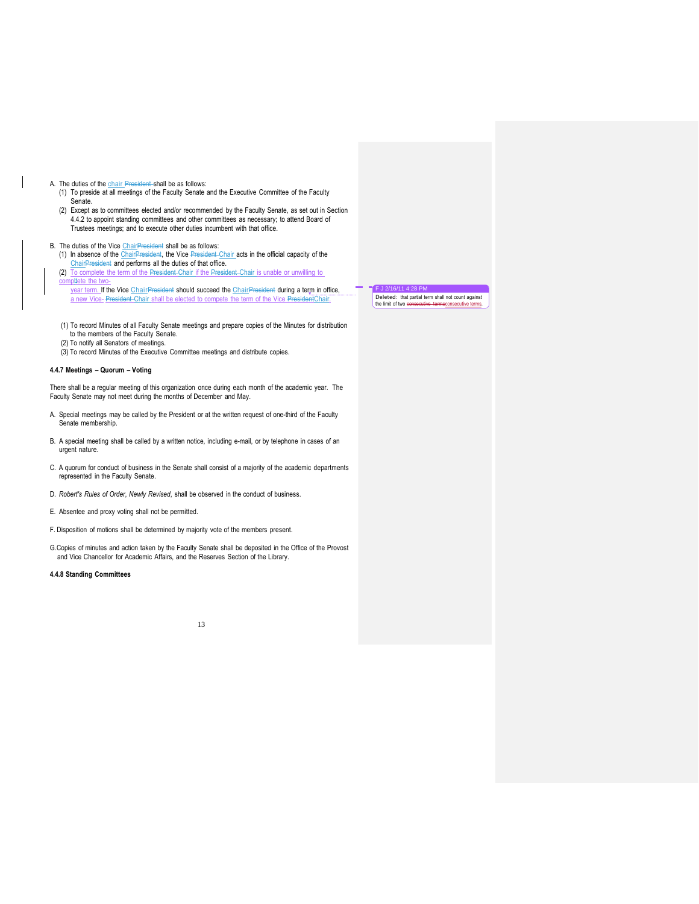- A. The duties of the chair President shall be as follows:
	- (1) To preside at all meetings of the Faculty Senate and the Executive Committee of the Faculty Senate.
	- (2) Except as to committees elected and/or recommended by the Faculty Senate, as set out in Section 4.4.2 to appoint standing committees and other committees as necessary; to attend Board of Trustees meetings; and to execute other duties incumbent with that office.

- B. The duties of the Vice ChairPresident shall be as follows:<br>(1) In absence of the ChairPresident, the Vice President Chair acts in the official capacity of the ChairPresident and performs all the duties of that office.
	- (2) To complete the term of the President Chair if the President Chair is unable or unwilling to mpltete the two
	- year term. If the Vice ChairPresident should succeed the ChairPresident during a term in office, a new Vice- President Chair shall be elected to compete the term of the Vice PresidentChair.
	- (1) To record Minutes of all Faculty Senate meetings and prepare copies of the Minutes for distribution to the members of the Faculty Senate.
	- (2) To notify all Senators of meetings.
	- (3) To record Minutes of the Executive Committee meetings and distribute copies.

## **4.4.7 Meetings – Quorum – Voting**

There shall be a regular meeting of this organization once during each month of the academic year. The Faculty Senate may not meet during the months of December and May.

- A. Special meetings may be called by the President or at the written request of one-third of the Faculty Senate membership.
- B. A special meeting shall be called by a written notice, including e-mail, or by telephone in cases of an urgent nature.
- C. A quorum for conduct of business in the Senate shall consist of a majority of the academic departments represented in the Faculty Senate.
- D. *Robert's Rules of Order*, *Newly Revised*, shall be observed in the conduct of business.
- E. Absentee and proxy voting shall not be permitted.
- F. Disposition of motions shall be determined by majority vote of the members present.
- G.Copies of minutes and action taken by the Faculty Senate shall be deposited in the Office of the Provost and Vice Chancellor for Academic Affairs, and the Reserves Section of the Library.

#### **4.4.8 Standing Committees**

13

F J 2/16/11 4:28 PM<br>Deleted: that partial term shall not count against<br>the limit of two <del>consecutive terms</del>consecutive terms.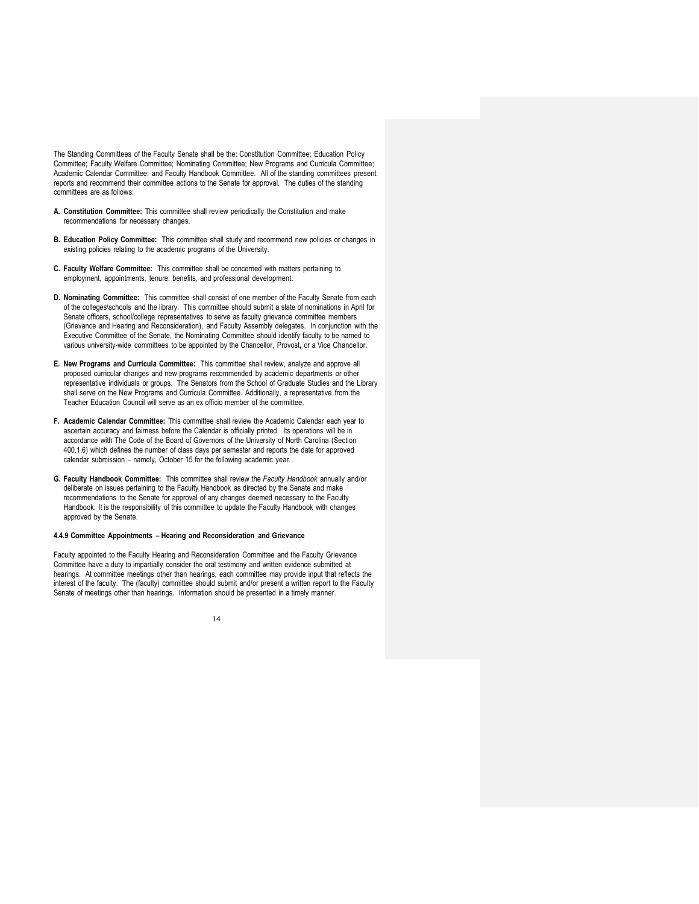The Standing Committees of the Faculty Senate shall be the: Constitution Committee; Education Policy Committee; Faculty Welfare Committee; Nominating Committee; New Programs and Curricula Committee; Academic Calendar Committee; and Faculty Handbook Committee. All of the standing committees present reports and recommend their committee actions to the Senate for approval. The duties of the standing committees are as follows:

- **A. Constitution Committee:** This committee shall review periodically the Constitution and make recommendations for necessary changes.
- **B. Education Policy Committee:** This committee shall study and recommend new policies or changes in existing policies relating to the academic programs of the University.
- **C. Faculty Welfare Committee:** This committee shall be concerned with matters pertaining to employment, appointments, tenure, benefits, and professional development.
- **D. Nominating Committee:** This committee shall consist of one member of the Faculty Senate from each of the colleges\schools and the library. This committee should submit a slate of nominations in April for Senate officers, school/college representatives to serve as faculty grievance committee members (Grievance and Hearing and Reconsideration), and Faculty Assembly delegates. In conjunction with the Executive Committee of the Senate, the Nominating Committee should identify faculty to be named to various university-wide committees to be appointed by the Chancellor, Provost**,** or a Vice Chancellor.
- **E. New Programs and Curricula Committee:** This committee shall review, analyze and approve all proposed curricular changes and new programs recommended by academic departments or other representative individuals or groups. The Senators from the School of Graduate Studies and the Library shall serve on the New Programs and Curricula Committee. Additionally, a representative from the Teacher Education Council will serve as an ex officio member of the committee.
- **F. Academic Calendar Committee:** This committee shall review the Academic Calendar each year to ascertain accuracy and fairness before the Calendar is officially printed. Its operations will be in accordance with The Code of the Board of Governors of the University of North Carolina (Section 400.1.6) which defines the number of class days per semester and reports the date for approved calendar submission – namely, October 15 for the following academic year.
- **G. Faculty Handbook Committee:** This committee shall review the *Faculty Handbook* annually and/or deliberate on issues pertaining to the Faculty Handbook as directed by the Senate and make recommendations to the Senate for approval of any changes deemed necessary to the Faculty Handbook. It is the responsibility of this committee to update the Faculty Handbook with changes approved by the Senate.

#### **4.4.9 Committee Appointments – Hearing and Reconsideration and Grievance**

Faculty appointed to the Faculty Hearing and Reconsideration Committee and the Faculty Grievance Committee have a duty to impartially consider the oral testimony and written evidence submitted at hearings. At committee meetings other than hearings, each committee may provide input that reflects the interest of the faculty. The (faculty) committee should submit and/or present a written report to the Faculty Senate of meetings other than hearings. Information should be presented in a timely manner.

14